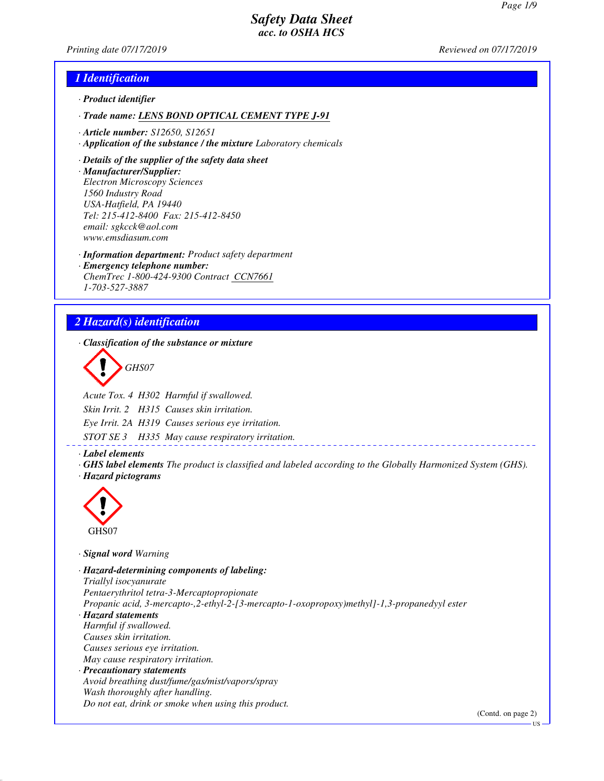*Printing date 07/17/2019 Reviewed on 07/17/2019*

### *1 Identification*

- *· Product identifier*
- *· Trade name: LENS BOND OPTICAL CEMENT TYPE J-91*
- *· Article number: S12650, S12651*
- *· Application of the substance / the mixture Laboratory chemicals*
- *· Details of the supplier of the safety data sheet*
- *· Manufacturer/Supplier: Electron Microscopy Sciences 1560 Industry Road USA-Hatfield, PA 19440 Tel: 215-412-8400 Fax: 215-412-8450 email: sgkcck@aol.com www.emsdiasum.com*
- *· Information department: Product safety department*
- *· Emergency telephone number: ChemTrec 1-800-424-9300 Contract CCN7661 1-703-527-3887*

# *2 Hazard(s) identification*

*· Classification of the substance or mixture*

*GHS07*

*Acute Tox. 4 H302 Harmful if swallowed.*

*Skin Irrit. 2 H315 Causes skin irritation.*

*Eye Irrit. 2A H319 Causes serious eye irritation.*

*STOT SE 3 H335 May cause respiratory irritation.*

*· Label elements*

*· GHS label elements The product is classified and labeled according to the Globally Harmonized System (GHS). · Hazard pictograms*



*· Signal word Warning*

*· Hazard-determining components of labeling: Triallyl isocyanurate Pentaerythritol tetra-3-Mercaptopropionate Propanic acid, 3-mercapto-,2-ethyl-2-[3-mercapto-1-oxopropoxy)methyl]-1,3-propanedyyl ester · Hazard statements Harmful if swallowed. Causes skin irritation. Causes serious eye irritation. May cause respiratory irritation. · Precautionary statements Avoid breathing dust/fume/gas/mist/vapors/spray Wash thoroughly after handling. Do not eat, drink or smoke when using this product.*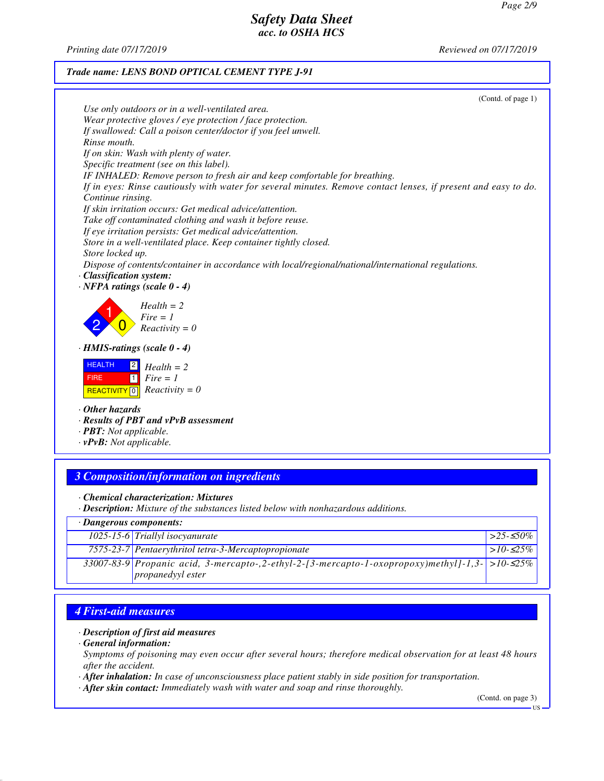*Printing date 07/17/2019 Reviewed on 07/17/2019*

### *Trade name: LENS BOND OPTICAL CEMENT TYPE J-91*

|                                                                                                                | (Contd. of page 1) |
|----------------------------------------------------------------------------------------------------------------|--------------------|
| Use only outdoors or in a well-ventilated area.                                                                |                    |
| Wear protective gloves / eye protection / face protection.                                                     |                    |
| If swallowed: Call a poison center/doctor if you feel unwell.                                                  |                    |
| Rinse mouth.                                                                                                   |                    |
| If on skin: Wash with plenty of water.                                                                         |                    |
| Specific treatment (see on this label).                                                                        |                    |
| IF INHALED: Remove person to fresh air and keep comfortable for breathing.                                     |                    |
| If in eyes: Rinse cautiously with water for several minutes. Remove contact lenses, if present and easy to do. |                    |
| Continue rinsing.                                                                                              |                    |
| If skin irritation occurs: Get medical advice/attention.                                                       |                    |
| Take off contaminated clothing and wash it before reuse.                                                       |                    |
| If eye irritation persists: Get medical advice/attention.                                                      |                    |
| Store in a well-ventilated place. Keep container tightly closed.                                               |                    |
| Store locked up.                                                                                               |                    |
| Dispose of contents/container in accordance with local/regional/national/international regulations.            |                    |
| · Classification system:                                                                                       |                    |
| $\cdot$ NFPA ratings (scale 0 - 4)                                                                             |                    |
| $Health = 2$                                                                                                   |                    |
| $Fire = 1$                                                                                                     |                    |
| $Reactivity = 0$                                                                                               |                    |
|                                                                                                                |                    |
| $\cdot$ HMIS-ratings (scale 0 - 4)                                                                             |                    |
| <b>HEALTH</b><br>$\sqrt{2}$<br>$Health = 2$                                                                    |                    |
| $\boxed{1}$<br>$Fire = 1$<br><b>FIRE</b>                                                                       |                    |
|                                                                                                                |                    |
| $Reactivity = 0$<br><b>REACTIVITY</b> 0                                                                        |                    |
| $\cdot$ Other hazards                                                                                          |                    |
| · Results of PBT and vPvB assessment                                                                           |                    |
| $\cdot$ <b>PBT:</b> Not applicable.                                                                            |                    |
| $\cdot$ vPvB: Not applicable.                                                                                  |                    |
|                                                                                                                |                    |

### *3 Composition/information on ingredients*

*· Chemical characterization: Mixtures*

*· Description: Mixture of the substances listed below with nonhazardous additions.*

#### *· Dangerous components: 1025-15-6 Triallyl isocyanurate >25-*≤*50% 7575-23-7 Pentaerythritol tetra-3-Mercaptopropionate >10-*≤*25% 33007-83-9 Propanic acid, 3-mercapto-,2-ethyl-2-[3-mercapto-1-oxopropoxy)methyl]-1,3 propanedyyl ester >10-*≤*25%*

# *4 First-aid measures*

#### *· Description of first aid measures*

*· General information:*

*Symptoms of poisoning may even occur after several hours; therefore medical observation for at least 48 hours after the accident.*

*· After inhalation: In case of unconsciousness place patient stably in side position for transportation.*

*· After skin contact: Immediately wash with water and soap and rinse thoroughly.*

(Contd. on page 3)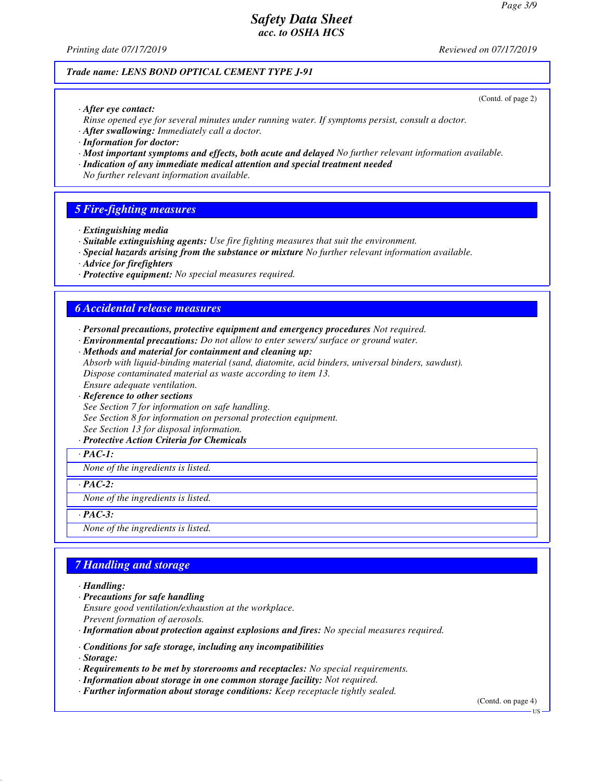*Printing date 07/17/2019 Reviewed on 07/17/2019*

(Contd. of page 2)

#### *Trade name: LENS BOND OPTICAL CEMENT TYPE J-91*

*· After eye contact:*

*Rinse opened eye for several minutes under running water. If symptoms persist, consult a doctor.*

- *· After swallowing: Immediately call a doctor.*
- *· Information for doctor:*
- *· Most important symptoms and effects, both acute and delayed No further relevant information available.*
- *· Indication of any immediate medical attention and special treatment needed*

*No further relevant information available.*

#### *5 Fire-fighting measures*

- *· Extinguishing media*
- *· Suitable extinguishing agents: Use fire fighting measures that suit the environment.*
- *· Special hazards arising from the substance or mixture No further relevant information available.*
- *· Advice for firefighters*
- *· Protective equipment: No special measures required.*

### *6 Accidental release measures*

- *· Personal precautions, protective equipment and emergency procedures Not required.*
- *· Environmental precautions: Do not allow to enter sewers/ surface or ground water.*
- *· Methods and material for containment and cleaning up:*
- *Absorb with liquid-binding material (sand, diatomite, acid binders, universal binders, sawdust). Dispose contaminated material as waste according to item 13.*

*Ensure adequate ventilation.*

*· Reference to other sections*

*See Section 7 for information on safe handling. See Section 8 for information on personal protection equipment. See Section 13 for disposal information.*

*· Protective Action Criteria for Chemicals*

*· PAC-1:*

*None of the ingredients is listed.*

*· PAC-2:*

*None of the ingredients is listed.*

*· PAC-3:*

*None of the ingredients is listed.*

### *7 Handling and storage*

*· Handling:*

*· Precautions for safe handling*

*Ensure good ventilation/exhaustion at the workplace.*

*Prevent formation of aerosols.*

*· Information about protection against explosions and fires: No special measures required.*

*· Conditions for safe storage, including any incompatibilities*

*· Storage:*

- *· Requirements to be met by storerooms and receptacles: No special requirements.*
- *· Information about storage in one common storage facility: Not required.*
- *· Further information about storage conditions: Keep receptacle tightly sealed.*

(Contd. on page 4)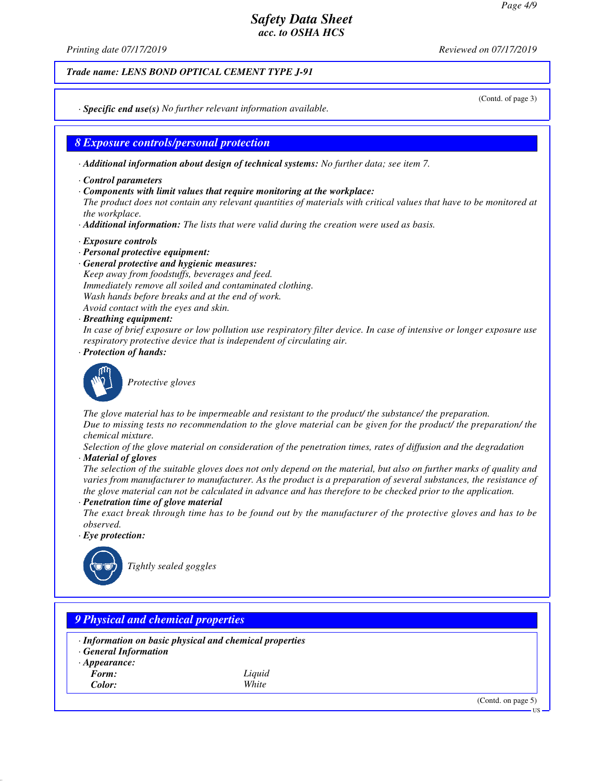*Printing date 07/17/2019 Reviewed on 07/17/2019*

*Trade name: LENS BOND OPTICAL CEMENT TYPE J-91*

(Contd. of page 3)

*· Specific end use(s) No further relevant information available.*

### *8 Exposure controls/personal protection*

*· Additional information about design of technical systems: No further data; see item 7.*

- *· Control parameters*
- *· Components with limit values that require monitoring at the workplace:*

*The product does not contain any relevant quantities of materials with critical values that have to be monitored at the workplace.*

- *· Additional information: The lists that were valid during the creation were used as basis.*
- *· Exposure controls*
- *· Personal protective equipment:*
- *· General protective and hygienic measures: Keep away from foodstuffs, beverages and feed. Immediately remove all soiled and contaminated clothing. Wash hands before breaks and at the end of work. Avoid contact with the eyes and skin.*
- *· Breathing equipment:*

*In case of brief exposure or low pollution use respiratory filter device. In case of intensive or longer exposure use respiratory protective device that is independent of circulating air.*

*· Protection of hands:*



*Protective gloves*

*The glove material has to be impermeable and resistant to the product/ the substance/ the preparation. Due to missing tests no recommendation to the glove material can be given for the product/ the preparation/ the chemical mixture.*

*Selection of the glove material on consideration of the penetration times, rates of diffusion and the degradation · Material of gloves*

*The selection of the suitable gloves does not only depend on the material, but also on further marks of quality and varies from manufacturer to manufacturer. As the product is a preparation of several substances, the resistance of the glove material can not be calculated in advance and has therefore to be checked prior to the application.*

#### *· Penetration time of glove material*

*The exact break through time has to be found out by the manufacturer of the protective gloves and has to be observed.*

*· Eye protection:*



# *9 Physical and chemical properties*

- *· Information on basic physical and chemical properties*
- *· General Information*
- *· Appearance:*
	-
- *Form: Liquid Color: White*

(Contd. on page 5)

US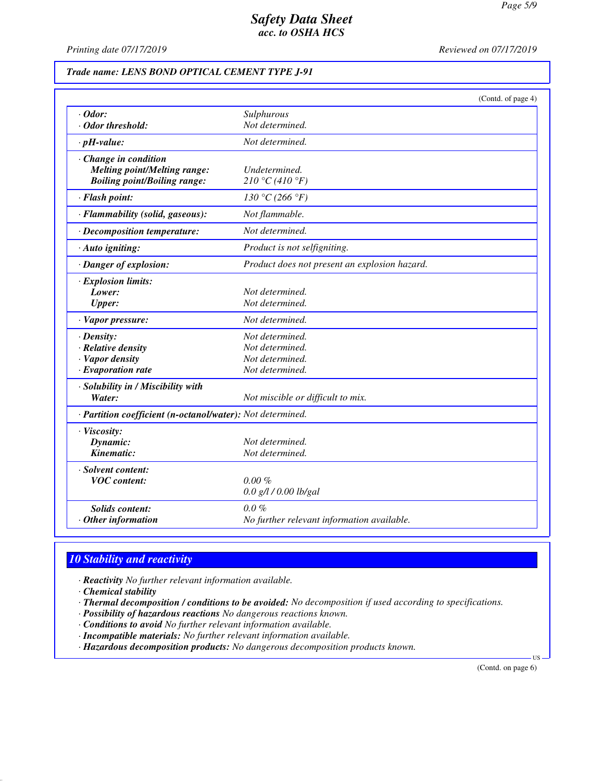*Printing date 07/17/2019 Reviewed on 07/17/2019*

#### *Trade name: LENS BOND OPTICAL CEMENT TYPE J-91*

|                                                            | (Contd. of page 4)                            |  |
|------------------------------------------------------------|-----------------------------------------------|--|
| $\cdot$ Odor:                                              | Sulphurous                                    |  |
| · Odor threshold:                                          | Not determined.                               |  |
| $\cdot$ pH-value:                                          | Not determined.                               |  |
| · Change in condition                                      |                                               |  |
| <b>Melting point/Melting range:</b>                        | Undetermined.                                 |  |
| <b>Boiling point/Boiling range:</b>                        | 210 °C (410 °F)                               |  |
| · Flash point:                                             | 130 °C (266 °F)                               |  |
| · Flammability (solid, gaseous):                           | Not flammable.                                |  |
| · Decomposition temperature:                               | Not determined.                               |  |
| · Auto igniting:                                           | Product is not selfigniting.                  |  |
| · Danger of explosion:                                     | Product does not present an explosion hazard. |  |
| · Explosion limits:                                        |                                               |  |
| Lower:                                                     | Not determined.                               |  |
| <b>Upper:</b>                                              | Not determined.                               |  |
| · Vapor pressure:                                          | Not determined.                               |  |
| $\cdot$ Density:                                           | Not determined.                               |  |
| · Relative density                                         | Not determined.                               |  |
| · Vapor density                                            | Not determined.                               |  |
| $\cdot$ Evaporation rate                                   | Not determined.                               |  |
| · Solubility in / Miscibility with                         |                                               |  |
| Water:                                                     | Not miscible or difficult to mix.             |  |
| · Partition coefficient (n-octanol/water): Not determined. |                                               |  |
| · Viscosity:                                               |                                               |  |
| Dynamic:                                                   | Not determined.                               |  |
| Kinematic:                                                 | Not determined.                               |  |
| · Solvent content:                                         |                                               |  |
| <b>VOC</b> content:                                        | $0.00 \%$                                     |  |
|                                                            | $0.0$ g/l $/0.00$ lb/gal                      |  |
| <b>Solids content:</b>                                     | $0.0 \%$                                      |  |
| $\cdot$ Other information                                  | No further relevant information available.    |  |

### *10 Stability and reactivity*

*· Reactivity No further relevant information available.*

*· Chemical stability*

*· Thermal decomposition / conditions to be avoided: No decomposition if used according to specifications.*

- *· Possibility of hazardous reactions No dangerous reactions known.*
- *· Conditions to avoid No further relevant information available.*
- *· Incompatible materials: No further relevant information available.*

*· Hazardous decomposition products: No dangerous decomposition products known.*

(Contd. on page 6)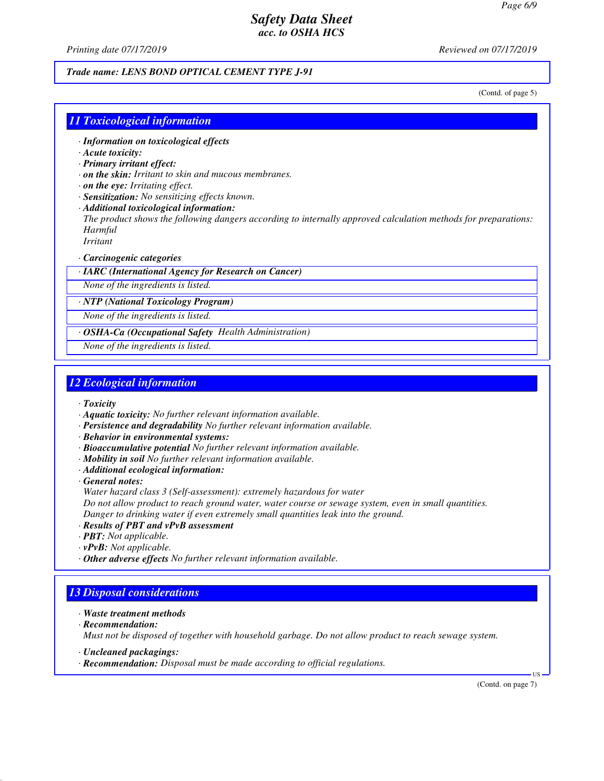*Printing date 07/17/2019 Reviewed on 07/17/2019*

#### *Trade name: LENS BOND OPTICAL CEMENT TYPE J-91*

(Contd. of page 5)

### *11 Toxicological information*

- *· Information on toxicological effects*
- *· Acute toxicity:*
- *· Primary irritant effect:*
- *· on the skin: Irritant to skin and mucous membranes.*
- *· on the eye: Irritating effect.*
- *· Sensitization: No sensitizing effects known.*
- *· Additional toxicological information:*

*The product shows the following dangers according to internally approved calculation methods for preparations: Harmful*

*Irritant*

#### *· Carcinogenic categories*

*· IARC (International Agency for Research on Cancer)*

*None of the ingredients is listed.*

*· NTP (National Toxicology Program)*

*None of the ingredients is listed.*

*· OSHA-Ca (Occupational Safety Health Administration)*

*None of the ingredients is listed.*

### *12 Ecological information*

*· Toxicity*

- *· Aquatic toxicity: No further relevant information available.*
- *· Persistence and degradability No further relevant information available.*

*· Behavior in environmental systems:*

- *· Bioaccumulative potential No further relevant information available.*
- *· Mobility in soil No further relevant information available.*
- *· Additional ecological information:*

*· General notes:*

*Water hazard class 3 (Self-assessment): extremely hazardous for water*

*Do not allow product to reach ground water, water course or sewage system, even in small quantities.*

*Danger to drinking water if even extremely small quantities leak into the ground.*

- *· Results of PBT and vPvB assessment*
- *· PBT: Not applicable.*
- *· vPvB: Not applicable.*
- *· Other adverse effects No further relevant information available.*

## *13 Disposal considerations*

- *· Waste treatment methods*
- *· Recommendation:*

*Must not be disposed of together with household garbage. Do not allow product to reach sewage system.*

- *· Uncleaned packagings:*
- *· Recommendation: Disposal must be made according to official regulations.*

(Contd. on page 7)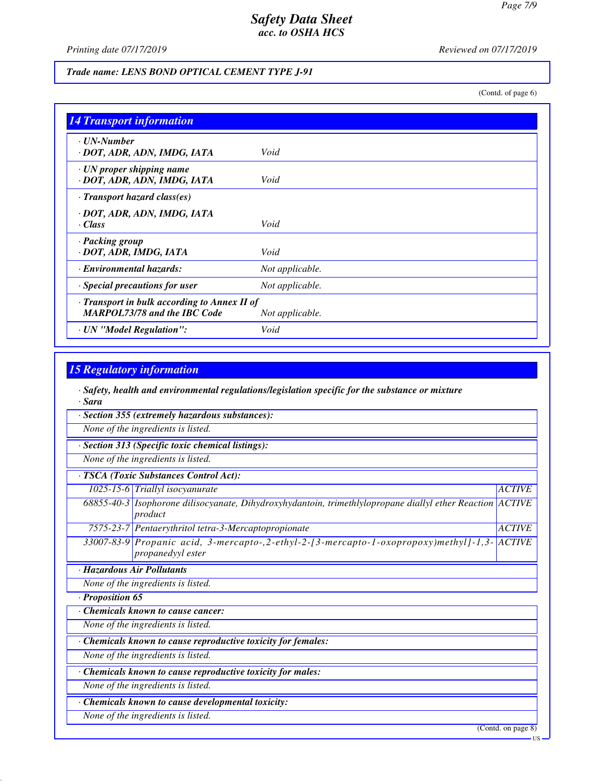*Printing date 07/17/2019 Reviewed on 07/17/2019*

### *Trade name: LENS BOND OPTICAL CEMENT TYPE J-91*

(Contd. of page 6)

| <b>14 Transport information</b>                                                           |                 |
|-------------------------------------------------------------------------------------------|-----------------|
| · UN-Number<br>· DOT, ADR, ADN, IMDG, IATA                                                | Void            |
| · UN proper shipping name<br>· DOT, ADR, ADN, IMDG, IATA                                  | Void            |
| · Transport hazard class(es)                                                              |                 |
| · DOT, ADR, ADN, IMDG, IATA                                                               |                 |
| · Class                                                                                   | Void            |
| · Packing group<br>· DOT, ADR, IMDG, IATA                                                 | Void            |
| · Environmental hazards:                                                                  | Not applicable. |
| Special precautions for user                                                              | Not applicable. |
| $\cdot$ Transport in bulk according to Annex II of<br><b>MARPOL73/78 and the IBC Code</b> | Not applicable. |
| · UN "Model Regulation":                                                                  | Void            |

# *15 Regulatory information*

*· Safety, health and environmental regulations/legislation specific for the substance or mixture · Sara*

|                  | · Section 355 (extremely hazardous substances):                                                                         |                    |
|------------------|-------------------------------------------------------------------------------------------------------------------------|--------------------|
|                  | None of the ingredients is listed.                                                                                      |                    |
|                  | Section 313 (Specific toxic chemical listings):                                                                         |                    |
|                  | None of the ingredients is listed.                                                                                      |                    |
|                  | TSCA (Toxic Substances Control Act):                                                                                    |                    |
|                  | 1025-15-6 Triallyl isocyanurate                                                                                         | <b>ACTIVE</b>      |
|                  | 68855-40-3 Isophorone dilisocyanate, Dihydroxyhydantoin, trimethlylopropane diallyl ether Reaction $ ACTIVE$<br>product |                    |
|                  | 7575-23-7 Pentaerythritol tetra-3-Mercaptopropionate                                                                    | <b>ACTIVE</b>      |
|                  | 33007-83-9 Propanic acid, 3-mercapto-, 2-ethyl-2-[3-mercapto-1-oxopropoxy)methyl]-1,3-<br>propanedyyl ester             | <b>ACTIVE</b>      |
|                  | · Hazardous Air Pollutants                                                                                              |                    |
|                  | None of the ingredients is listed.                                                                                      |                    |
| · Proposition 65 |                                                                                                                         |                    |
|                  | Chemicals known to cause cancer:                                                                                        |                    |
|                  | None of the ingredients is listed.                                                                                      |                    |
|                  | Chemicals known to cause reproductive toxicity for females:                                                             |                    |
|                  | None of the ingredients is listed.                                                                                      |                    |
|                  | Chemicals known to cause reproductive toxicity for males:                                                               |                    |
|                  | None of the ingredients is listed.                                                                                      |                    |
|                  | · Chemicals known to cause developmental toxicity:                                                                      |                    |
|                  | None of the ingredients is listed.                                                                                      |                    |
|                  |                                                                                                                         | (Contd. on page 8) |
|                  |                                                                                                                         | - US               |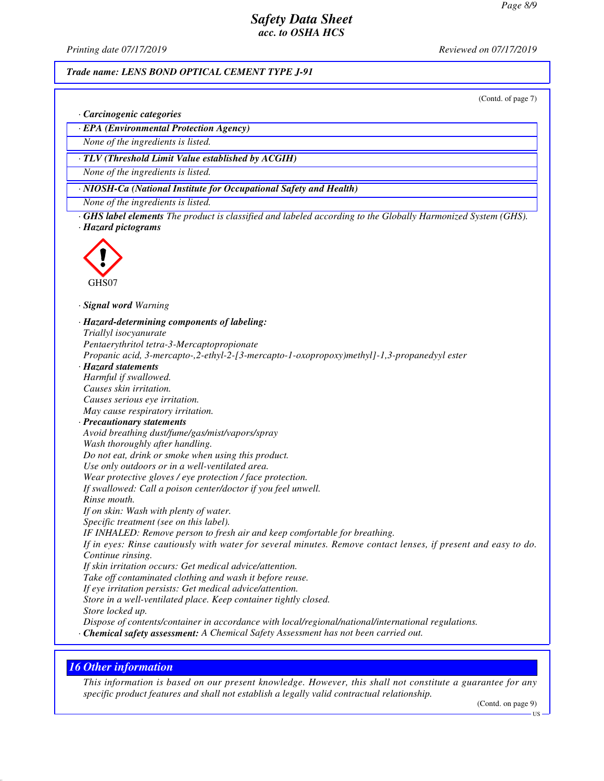*Printing date 07/17/2019 Reviewed on 07/17/2019*

#### *Trade name: LENS BOND OPTICAL CEMENT TYPE J-91*

(Contd. of page 7)

*· Carcinogenic categories*

*· EPA (Environmental Protection Agency)*

*None of the ingredients is listed.*

*· TLV (Threshold Limit Value established by ACGIH)*

*None of the ingredients is listed.*

*· NIOSH-Ca (National Institute for Occupational Safety and Health)*

*None of the ingredients is listed.*

*· GHS label elements The product is classified and labeled according to the Globally Harmonized System (GHS). · Hazard pictograms*



*· Signal word Warning*

*· Hazard-determining components of labeling: Triallyl isocyanurate Pentaerythritol tetra-3-Mercaptopropionate Propanic acid, 3-mercapto-,2-ethyl-2-[3-mercapto-1-oxopropoxy)methyl]-1,3-propanedyyl ester · Hazard statements Harmful if swallowed. Causes skin irritation. Causes serious eye irritation. May cause respiratory irritation. · Precautionary statements Avoid breathing dust/fume/gas/mist/vapors/spray Wash thoroughly after handling. Do not eat, drink or smoke when using this product. Use only outdoors or in a well-ventilated area. Wear protective gloves / eye protection / face protection. If swallowed: Call a poison center/doctor if you feel unwell. Rinse mouth. If on skin: Wash with plenty of water. Specific treatment (see on this label). IF INHALED: Remove person to fresh air and keep comfortable for breathing. If in eyes: Rinse cautiously with water for several minutes. Remove contact lenses, if present and easy to do. Continue rinsing. If skin irritation occurs: Get medical advice/attention. Take off contaminated clothing and wash it before reuse. If eye irritation persists: Get medical advice/attention. Store in a well-ventilated place. Keep container tightly closed. Store locked up. Dispose of contents/container in accordance with local/regional/national/international regulations.*

*· Chemical safety assessment: A Chemical Safety Assessment has not been carried out.*

### *16 Other information*

*This information is based on our present knowledge. However, this shall not constitute a guarantee for any specific product features and shall not establish a legally valid contractual relationship.*

(Contd. on page 9)

US